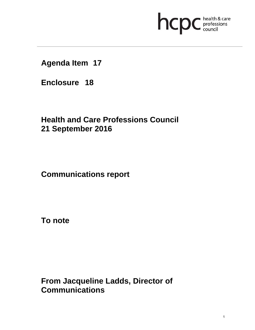# **health & care**

**Agenda Item 17** 

**Enclosure 18**

**Health and Care Professions Council 21 September 2016**

**Communications report** 

**To note** 

**From Jacqueline Ladds, Director of Communications**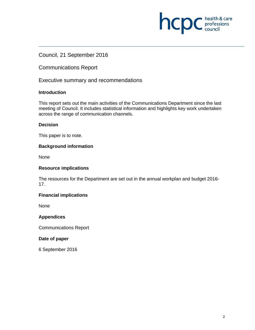## **INCID** C health & care

#### Council, 21 September 2016

Communications Report

Executive summary and recommendations

#### **Introduction**

This report sets out the main activities of the Communications Department since the last meeting of Council. It includes statistical information and highlights key work undertaken across the range of communication channels.

#### **Decision**

This paper is to note.

#### **Background information**

None

#### **Resource implications**

The resources for the Department are set out in the annual workplan and budget 2016- 17.

#### **Financial implications**

None

#### **Appendices**

Communications Report

#### **Date of paper**

6 September 2016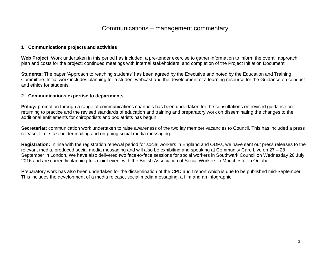## Communications – management commentary

#### **1 Communications projects and activities**

**Web Project**: Work undertaken in this period has included: a pre-tender exercise to gather information to inform the overall approach, plan and costs for the project; continued meetings with internal stakeholders; and completion of the Project Initiation Document.

**Students:** The paper 'Approach to reaching students' has been agreed by the Executive and noted by the Education and Training Committee. Initial work includes planning for a student webcast and the development of a learning resource for the Guidance on conduct and ethics for students.

#### **2 Communications expertise to departments**

**Policy:** promotion through a range of communications channels has been undertaken for the consultations on revised guidance on returning to practice and the revised standards of education and training and preparatory work on disseminating the changes to the additional entitlements for chiropodists and podiatrists has begun.

**Secretariat:** communication work undertaken to raise awareness of the two lay member vacancies to Council. This has included a press release, film, stakeholder mailing and on-going social media messaging.

**Registration:** In line with the registration renewal period for social workers in England and ODPs, we have sent out press releases to the relevant media, produced social media messaging and will also be exhibiting and speaking at Community Care Live on 27 – 28 September in London. We have also delivered two face-to-face sessions for social workers in Southwark Council on Wednesday 20 July 2016 and are currently planning for a joint event with the British Association of Social Workers in Manchester in October.

Preparatory work has also been undertaken for the dissemination of the CPD audit report which is due to be published mid-September. This includes the development of a media release, social media messaging, a film and an infographic.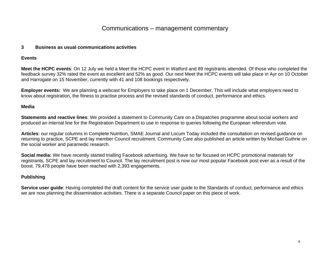## Communications – management commentary

#### **3 Business as usual communications activities**

#### **Events**

**Meet the HCPC events**: On 12 July we held a Meet the HCPC event in Watford and 89 registrants attended. Of those who completed the feedback survey 32% rated the event as excellent and 52% as good. Our next Meet the HCPC events will take place in Ayr on 10 October and Harrogate on 15 November, currently with 41 and 108 bookings respectively.

**Employer events:** We are planning a webcast for Employers to take place on 1 December. This will include what employers need to know about registration, the fitness to practise process and the revised standards of conduct, performance and ethics.

#### **Media**

**Statements and reactive lines**: We provided a statement to Community Care on a Dispatches programme about social workers and produced an internal line for the Registration Department to use in response to queries following the European referendum vote.

**Articles**: our regular columns in Complete Nutrition, SMAE Journal and Locum Today included the consultation on revised guidance on returning to practice, SCPE and lay member Council recruitment. Community Care also published an article written by Michael Guthrie on the social worker and paramedic research.

**Social media:** We have recently started trialling Facebook advertising. We have so far focused on HCPC promotional materials for registrants, SCPE and lay recruitment to Council. The lay recruitment post is now our most popular Facebook post ever as a result of the boost. 79,478 people have been reached with 2,393 engagements.

#### **Publishing**

**Service user guide**: Having completed the draft content for the service user guide to the Standards of conduct, performance and ethics we are now planning the dissemination activities. There is a separate Council paper on this piece of work.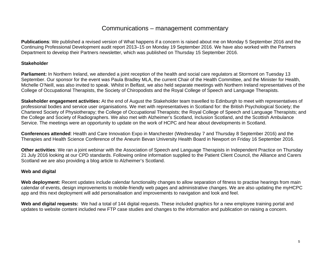## Communications – management commentary

**Publications**: We published a revised version of What happens if a concern is raised about me on Monday 5 September 2016 and the Continuing Professional Development audit report 2013–15 on Monday 19 September 2016. We have also worked with the Partners Department to develop their Partners newsletter, which was published on Thursday 15 September 2016.

#### **Stakeholder**

**Parliament:** In Northern Ireland, we attended a joint reception of the health and social care regulators at Stormont on Tuesday 13 September. Our sponsor for the event was Paula Bradley MLA, the current Chair of the Health Committee, and the Minister for Health, Michelle O'Neill, was also invited to speak. Whilst in Belfast, we also held separate meetings with Northern Ireland representatives of the College of Occupational Therapists, the Society of Chiropodists and the Royal College of Speech and Language Therapists.

**Stakeholder engagement activities:** At the end of August the Stakeholder team travelled to Edinburgh to meet with representatives of professional bodies and service user organisations. We met with representatives in Scotland for: the British Psychological Society; the Chartered Society of Physiotherapy; the College of Occupational Therapists; the Royal College of Speech and Language Therapists; and the College and Society of Radiographers. We also met with Alzheimer's Scotland, Inclusion Scotland, and the Scottish Ambulance Service. The meetings were an opportunity to update on the work of HCPC and hear about developments in Scotland.

**Conferences attended**: Health and Care Innovation Expo in Manchester (Wednesday 7 and Thursday 8 September 2016) and the Therapies and Health Science Conference of the Aneurin Bevan University Health Board in Newport on Friday 16 September 2016.

**Other activities**: We ran a joint webinar with the Association of Speech and Language Therapists in Independent Practice on Thursday 21 July 2016 looking at our CPD standards. Following online information supplied to the Patient Client Council, the Alliance and Carers Scotland we are also providing a blog article to Alzheimer's Scotland.

#### **Web and digital**

**Web deployment:** Recent updates include calendar functionality changes to allow separation of fitness to practise hearings from main calendar of events, design improvements to mobile-friendly web pages and administrative changes. We are also updating the myHCPC app and this next deployment will add personalisation and improvements to navigation and look and feel.

**Web and digital requests:** We had a total of 144 digital requests. These included graphics for a new employee training portal and updates to website content included new FTP case studies and changes to the information and publication on raising a concern.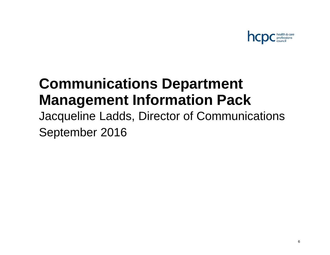

## **Communications Department Management Information Pack**

Jacqueline Ladds, Director of Communications September 2016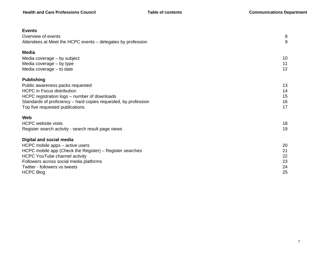| <b>Events</b>                                                   |    |
|-----------------------------------------------------------------|----|
| Overview of events                                              | 8  |
| Attendees at Meet the HCPC events – delegates by profession     | 9  |
| <b>Media</b>                                                    |    |
| Media coverage – by subject                                     | 10 |
| Media coverage – by type                                        | 11 |
| Media coverage - to date                                        | 12 |
| <b>Publishing</b>                                               |    |
| Public awareness packs requested                                | 13 |
| <b>HCPC</b> in Focus distribution                               | 14 |
| HCPC registration logo – number of downloads                    | 15 |
| Standards of proficiency - hard copies requested, by profession | 16 |
| Top five requested publications                                 | 17 |
| Web                                                             |    |
| <b>HCPC</b> website visits                                      | 18 |
| Register search activity - search result page views             | 19 |
| <b>Digital and social media</b>                                 |    |
| HCPC mobile apps – active users                                 | 20 |
| HCPC mobile app (Check the Register) – Register searches        | 21 |
| HCPC YouTube channel activity                                   | 22 |
| Followers across social media platforms                         | 23 |
| Twitter - followers vs tweets                                   | 24 |
| <b>HCPC Blog</b>                                                | 25 |
|                                                                 |    |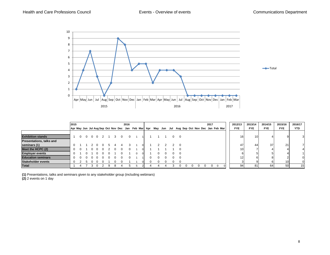

|                                 | 2015 |          |          |  |   |             | 2016           |                                                                                                   |              |              |   |               |  |  | 2017 |        | 2012/13    | 2013/14         | 2014/15    | 2015/16         | 2016/17    |
|---------------------------------|------|----------|----------|--|---|-------------|----------------|---------------------------------------------------------------------------------------------------|--------------|--------------|---|---------------|--|--|------|--------|------------|-----------------|------------|-----------------|------------|
|                                 |      |          |          |  |   |             |                | Apr May Jun Jul Aug Sep Oct Nov Dec Jan Feb Mar   Apr May Jun Jul Aug Sep Oct Nov Dec Jan Feb Mar |              |              |   |               |  |  |      |        | <b>FYE</b> | <b>FYE</b>      | <b>FYE</b> | <b>FYE</b>      | <b>YTD</b> |
|                                 |      |          |          |  |   |             |                |                                                                                                   |              |              |   |               |  |  |      |        |            |                 |            |                 |            |
| <b>Exhibition stands</b>        |      | 0        | $\Omega$ |  |   | 0 0 2 1 3 0 | $\overline{0}$ |                                                                                                   |              |              |   | $\Omega$<br>0 |  |  |      |        | 16         | 10 <sub>1</sub> |            |                 | 31         |
| <b>Presentations, talks and</b> |      |          |          |  |   |             |                |                                                                                                   |              |              |   |               |  |  |      |        |            |                 |            |                 |            |
| seminars (1)                    |      |          |          |  |   |             |                |                                                                                                   |              |              |   | $\Omega$      |  |  |      |        | 47         | 44              | 37         | 21              |            |
| Meet the HCPC (2)               | 0    | $\Omega$ |          |  |   |             |                |                                                                                                   |              |              |   |               |  |  |      |        | 10         |                 |            |                 |            |
| <b>Employer events</b>          |      |          |          |  |   |             |                |                                                                                                   |              | 0            | 0 | 0             |  |  |      |        |            |                 |            |                 |            |
| <b>Education seminars</b>       |      |          |          |  |   |             |                |                                                                                                   | $^{(1)}$     | <sup>n</sup> | 0 |               |  |  |      |        | 1つ         |                 |            |                 | $\Omega$   |
| <b>Stakeholder events</b>       |      |          |          |  |   |             |                |                                                                                                   | $\mathbf{0}$ | 0            |   |               |  |  |      |        |            |                 |            | 10 <sub>1</sub> | $\Omega$   |
| Total                           |      |          |          |  | റ |             |                |                                                                                                   |              |              |   |               |  |  |      | $\cap$ | 94         | 81              | 64         | 50              | 15         |

**(1)** Presentations, talks and seminars given to any stakeholder group (including webinars)

**(2)** 2 events on 1 day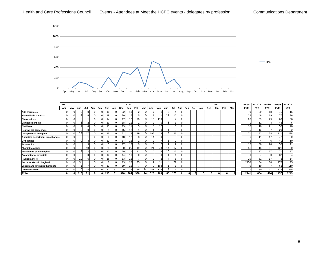Total





|                                           | 2015     |     |     |     |     |     |                 |     |                 | 2016            |           |            |                 |                 |                  |     |          |     |     |     |     | 2017 |     |     | 2012/13    | 2013/14    | 2014/15      | 2015/16    | 2016/17         |
|-------------------------------------------|----------|-----|-----|-----|-----|-----|-----------------|-----|-----------------|-----------------|-----------|------------|-----------------|-----------------|------------------|-----|----------|-----|-----|-----|-----|------|-----|-----|------------|------------|--------------|------------|-----------------|
|                                           | Apr      | May | Jun | Jul | Aug | Sep | Oct             | Nov | Dec             | Jan             | Feb       | <b>Mar</b> | Apr             | May             | Jun              | Jul | Aug      | Sep | Oct | Nov | Dec | Jan  | Feb | Mar | <b>FYE</b> | <b>FYE</b> | <b>FYE</b>   | <b>FYE</b> | <b>YTD</b>      |
| <b>Arts therapists</b>                    | $\cap$   |     |     |     |     |     |                 |     | 22              | 11              |           |            |                 |                 | ঽ                |     |          |     |     |     |     |      |     |     |            | 20         | 18           | 45         | 15              |
| <b>Biomedical scientists</b>              |          |     |     | 6   |     |     | 19              |     | 30 <sup>1</sup> | 15 <sup>1</sup> |           |            |                 |                 | 11               | 15  | $\Omega$ |     |     |     |     |      |     |     | 22         | 46         | 19           | 77         | 36              |
| <b>Chiropodists</b>                       |          |     |     |     |     |     | 14              |     | 17              | 12              | <b>20</b> |            | 13 <sub>1</sub> | 113             |                  |     |          |     |     |     |     |      |     |     | 28         | 69         | 29           | 69         | 138             |
| <b>Clinical scientists</b>                |          |     |     |     |     |     |                 |     | 18 <sup>1</sup> |                 |           |            |                 | $\Omega$        | $\sqrt{2}$       |     |          |     |     |     |     |      |     |     |            | 11         |              | 45         | 6               |
| <b>Dietitians</b>                         | 0.       |     |     | 4   |     |     | 13              |     | 19              |                 |           |            |                 | 12              | 8                |     | $\Omega$ |     |     |     |     |      |     |     | 10         | 18         | 21           | 53         | 28              |
| <b>Hearing aid dispensers</b>             | $\Omega$ |     |     |     |     |     |                 |     | 15              | 12              |           |            |                 | $\Omega$        |                  |     | $\Omega$ |     |     |     |     |      |     |     |            | 12         |              | 29         | 2 <sup>1</sup>  |
| <b>Occupational therapists</b>            | $\cap$   |     | 23  |     |     |     | 16              |     | 22              | 14              | 19        |            | 196             | 13 <sub>l</sub> |                  | 21  |          |     |     |     |     |      |     |     | 71         | 82         | 58           | 111        | 238             |
| <b>Operating department practitioners</b> | $\Omega$ |     |     |     |     |     |                 |     | 18 <sup>1</sup> | 12              |           |            | 14              | <sup>0</sup>    |                  |     |          |     |     |     |     |      |     |     |            |            | 17           | 42         | 20              |
| <b>Orthoptists</b>                        | $\Omega$ |     |     | 3   |     |     |                 |     | 14              | 12              |           |            |                 |                 |                  |     |          |     |     |     |     |      |     |     |            |            | 6            | 41         | 10 <sup>1</sup> |
| <b>Paramedics</b>                         | ΩL       |     |     | 3   |     |     |                 |     | 17              | 13              | a         |            |                 | $\overline{2}$  |                  |     | $\Omega$ |     |     |     |     |      |     |     | 15         | 38         | 28           | 53         | 11              |
| Physiotherapists                          | $\Omega$ |     | 12  | 10  |     |     | 25              |     | 30 <sub>1</sub> | 25              | 19        |            | 21              | 78              | 14               | 17  | $\Omega$ |     |     |     |     |      |     |     | 51         | 115        | 31           | 121        | 130             |
| <b>Practitioner psychologists</b>         | $\Omega$ |     |     |     |     |     |                 |     | 29              |                 |           |            |                 |                 | 10 <sub>1</sub>  | 12  |          |     |     |     |     |      |     |     | 17         | 37         | 37           | 71         | 27              |
| <b>Prosthetists / orthotists</b>          | $\cap$   |     |     |     |     |     | 12              |     | 14              |                 |           |            |                 | $\Omega$        |                  |     | $\Omega$ |     |     |     |     |      |     |     |            |            | <sup>0</sup> | 37         | $\overline{4}$  |
| Radiographers                             | $\Omega$ |     | 19  | 6   |     |     | 16              |     | 13 <sup>1</sup> | 12              |           |            |                 |                 |                  |     | $\Omega$ |     |     |     |     |      |     |     | 29         | 51         | 17           | 73         | 14              |
| Social workers in England                 | $\Omega$ |     | 36  |     |     |     |                 |     | 13              | 28              | 95        |            |                 | 11              |                  | 77  |          |     |     |     |     |      |     |     | 2156       | 184        | 88           | 173        | 95              |
| Speech and language therapists            | $\Omega$ |     |     |     |     |     | 13 <sub>1</sub> |     | 19              | 15              |           |            |                 | 103             |                  |     | n        |     |     |     |     |      |     |     |            | 19         |              | 62         | 110             |
| Other/Unknown                             | $\Omega$ |     |     | 18  |     |     | 37              | 31  |                 | 39              | 186       | 24         | 241             | 115             | $\epsilon$<br>ਲ਼ |     | $\Omega$ |     |     |     |     |      |     |     |            | 130        | 27           | 335        | 365             |
| Total                                     | 01       |     | 118 | 81  |     |     | 213             | 31  | 310             | 264             | 396       | 24         | 528             | 463             | 85               | 173 |          |     |     |     |     |      |     |     | 2441       | 854        | 414          | 1437       | 1249            |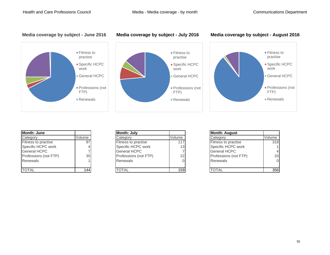

#### **Media coverage by subject - June 2016 Media coverage by subject - July 2016 Media coverage by subject - August 2016**



| Month: June                |                 | <b>Month: July</b>         |                 | <b>IMonth: August</b>      |        |
|----------------------------|-----------------|----------------------------|-----------------|----------------------------|--------|
| Category                   | Volume          | Category                   | Volume          | Category                   | Volume |
| <b>Fitness to practise</b> | 97              | <b>Fitness to practise</b> | 117.            | <b>Fitness to practise</b> | 318    |
| Specific HCPC work         |                 | Specific HCPC work         | 13 <sub>1</sub> | Specific HCPC work         |        |
| <b>General HCPC</b>        |                 | <b>General HCPC</b>        |                 | <b>General HCPC</b>        | 4      |
| Professions (not FTP)      | 35 <sup>1</sup> | Professions (not FTP)      | 22              | Professions (not FTP)      | 33     |
| Renewals                   |                 | <b>Renewals</b>            |                 | Renewals                   |        |
| <b>TOTAL</b>               | 144             | <b>TOTAL</b>               | 159             | <b>TOTAL</b>               | 356    |

| າ: June          |        | <b>Month: July</b>         |                 | <b>Month: August</b>       |        |
|------------------|--------|----------------------------|-----------------|----------------------------|--------|
| orv              | Volume | Category                   | Volume          | Category                   | Volume |
| s to practise    | 97     | <b>Fitness to practise</b> | 117             | <b>Fitness to practise</b> | 318    |
| ic HCPC work     |        | Specific HCPC work         | 13 <sub>1</sub> | Specific HCPC work         |        |
| al HCPC :        |        | <b>General HCPC</b>        |                 | <b>General HCPC</b>        | 4      |
| ssions (not FTP) | 35     | Professions (not FTP)      | 22 <sub>1</sub> | Professions (not FTP)      | 33     |
| vals             |        | Renewals                   |                 | Renewals                   |        |
|                  |        |                            |                 |                            |        |
|                  | 144    | TOTAL                      | 159             | <b>TOTAL</b>               | 356    |

| <b>Month: August</b>  |        |
|-----------------------|--------|
| Category              | Volume |
| Fitness to practise   | 318    |
| Specific HCPC work    |        |
| <b>General HCPC</b>   |        |
| Professions (not FTP) | 33     |
| Renewals              |        |
|                       |        |
|                       |        |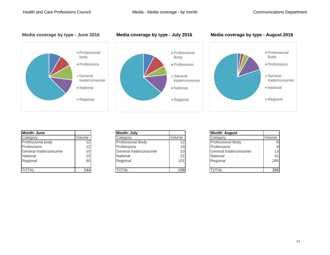Body



#### **Media coverage by type - June 2016 Media coverage by type - July 2016 Media coverage by type - August 2016**



| <b>Month: June</b>     |        |
|------------------------|--------|
| Category               | Volume |
| Professional body      | 12     |
| Professions            | 12     |
| General trade/consumer | 15     |
| National               | 15     |
| Regional               | 90     |
|                        |        |
| TOTAI                  |        |

| Month: June            |                 | <b>Month: July</b>       |                 | <b>Month: August</b>     |        |
|------------------------|-----------------|--------------------------|-----------------|--------------------------|--------|
| Category               | Volume          | Category                 | Volume          | Category                 | Volume |
| Professional body      |                 | <b>Professional Body</b> |                 | <b>Professional Body</b> |        |
| Professions            | 12              | <b>Professions</b>       | 15              | <b>Professions</b>       |        |
| General trade/consumer | 15 <sub>1</sub> | General trade/consumer   | 10 <sub>1</sub> | General trade/consumer   | 13     |
| National               | 15              | National                 | 21              | National                 | 42     |
| Regional               | 90              | Regional                 | 101             | Regional                 | 285    |
|                        |                 |                          |                 |                          |        |
| <b>TOTAL</b>           | 1441            | <b>TOTAL</b>             | 159             | <b>TOTAL</b>             | 356    |

| <b>Month: August</b>     |        |
|--------------------------|--------|
| Category                 | Volume |
| <b>Professional Body</b> |        |
| Professions              |        |
| General trade/consumer   | 13     |
| National                 | 42     |
| Regional                 | 285    |
|                          |        |
|                          |        |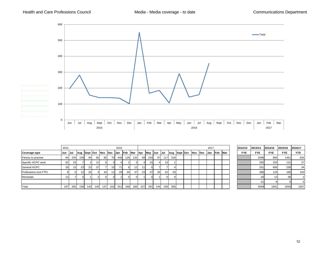

|                       | 2015            |                 |              |           |     |                 |     | 2016 |     |         |     |     |             |     |              |  |     |     | 2017 |             | 2012/13    | 2013/14    | 2014/15          | 2015/16    | 2016/17    |
|-----------------------|-----------------|-----------------|--------------|-----------|-----|-----------------|-----|------|-----|---------|-----|-----|-------------|-----|--------------|--|-----|-----|------|-------------|------------|------------|------------------|------------|------------|
| Coverage type         | Jun             | Jul             | Aug Sept Oct |           |     | Nov Dec Jan     |     |      | Feb | Mar Apr |     |     | May Jun Jul |     | Aug Sept Oct |  | Nov | Dec |      | Jan Feb Mar | <b>FYE</b> | <b>FYE</b> | <b>FYE</b>       | <b>FYE</b> | <b>YTD</b> |
| Fitness to practise   | 84              | 235             | 109          | 94        | 85  | 80              | 70  | 446  | 126 | 132     | 68  | 234 | 97          | 117 | 318          |  |     |     |      |             |            | 2588       | 885              | 1461       | 834        |
| Specific HCPC work    | 62              | 25              |              |           | 12  | 9               |     |      |     |         |     | 15  |             |     |              |  |     |     |      |             |            | 265        | 203              | 131        | 37         |
| <b>General HCPC</b>   | 29              | 15 <sup>1</sup> | 23           | 23        | 37  |                 | 15  | 71.  |     | 12      | 11  |     |             |     |              |  |     |     |      |             |            | 251        | 606              | 238        | 34         |
| Professions (not FTP) |                 |                 | 12           | <b>20</b> |     | 34 <sup>l</sup> | 11  | 29   | 34  | 37      | 23  | 37  | 35          | 22  | 33           |  |     |     |      |             |            | 386        | 125 <sub>1</sub> | 190        | 150        |
| Renewals              | 13 <sup>1</sup> |                 |              |           |     | 61              |     |      |     |         |     |     |             |     |              |  |     |     |      |             |            | 26         |                  | 38         |            |
|                       |                 |                 |              |           |     |                 |     |      |     |         |     |     |             |     |              |  |     |     |      |             |            |            |                  |            |            |
| Total                 | 197             | 282             | 156          | 140       | 140 | 137             | 102 | 551  | 168 | 186     | 107 | 291 | 144         | 159 | 356          |  |     |     |      |             |            | 3569       | 1841             | 2059       | 1057       |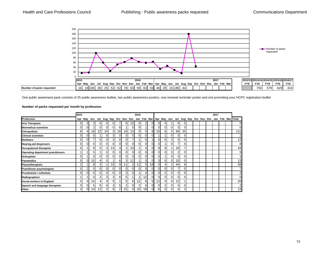

One public awareness pack consists of 25 public awareness leafets, two public awareness posters, one renewal reminder poster and one promoting your HCPC registration leaflet

#### **Number of packs requested per month by profession**

|                                           | 2015           |   |                 |                 |                 |                |    |                |    | 2016            |                 |          |                 |    |                |                |                                                                                                 |  |  | 2017 |  |                |
|-------------------------------------------|----------------|---|-----------------|-----------------|-----------------|----------------|----|----------------|----|-----------------|-----------------|----------|-----------------|----|----------------|----------------|-------------------------------------------------------------------------------------------------|--|--|------|--|----------------|
| Profession                                |                |   |                 |                 |                 |                |    |                |    |                 |                 |          |                 |    |                |                | Apr May Jun Jul Aug Sep Oct Nov Dec Jan Feb Mar Apr May Jun Jul Aug Sep Oct Nov Dec Jan Feb Mar |  |  |      |  | <b>Total</b>   |
| <b>Arts Therapists</b>                    | $\Omega$       | 3 | 3               | 0               | $\Omega$        | $\Omega$       |    | 6              | 12 | $\Omega$        | 2               | 0        | $\Omega$        | 4  | 1              |                | 0                                                                                               |  |  |      |  | 5              |
| <b>Biomedical scientists</b>              | 0              | 0 |                 |                 | 0               | $\overline{0}$ | 6  |                |    | 9               |                 | $\Omega$ | $\Omega$        | 0  | $\overline{0}$ | $\Omega$       | $\Omega$                                                                                        |  |  |      |  | $\Omega$       |
| <b>Chiropodists</b>                       | 8              | 4 | 18              | 22              | 10 <sup>1</sup> | 3              | 16 | 19             | 13 | 9               | 5               | 8        | 10 <sup>1</sup> | 6  | 51             | 69             | 25                                                                                              |  |  |      |  | 115            |
| <b>Clinical scientists</b>                | $\overline{0}$ | 0 | 0               |                 | $\Omega$        | 3              | 0  | 0              | 0  | $\Omega$        | $\overline{0}$  | $\Omega$ |                 |    | $\Omega$       | 0              | $\Omega$                                                                                        |  |  |      |  | $\overline{2}$ |
| <b>Dietitians</b>                         | $\overline{0}$ | 0 |                 | 0               | $\Omega$        | 3              | 0  | $\Omega$       | ⇁  |                 | $\Omega$        |          | 5               |    | 3              | 5 <sup>1</sup> | $\Omega$                                                                                        |  |  |      |  | 13             |
| <b>Hearing aid dispensers</b>             | $\overline{0}$ | 0 | $\Omega$        | 0               | $\overline{0}$  | $\overline{0}$ | 0  | $\Omega$       | 0  | $\overline{0}$  | $\overline{0}$  | $\Omega$ | $\Omega$        |    | $\Omega$       | 7              | $\Omega$                                                                                        |  |  |      |  | 8              |
| <b>Occupational therapists</b>            | $\overline{0}$ |   | 9               | 5               | 31              | 13             | 4  |                | 10 |                 | 4               | ΟI       | 9               | 8  |                | 19             |                                                                                                 |  |  |      |  | 44             |
| <b>Operating department practitioners</b> |                |   | 5               |                 | $\Omega$        | $\overline{0}$ | 0  | $\Omega$       | 0  | $\Omega$        | $\overline{0}$  | 0        | $\Omega$        |    | 3              | 2              | 0                                                                                               |  |  |      |  | 5              |
| <b>Orthoptists</b>                        | $\Omega$       |   | $\Omega$        |                 | $\Omega$        | $\Omega$       | 0  | 0              | 0  | $\Omega$        |                 | 0        | $\Omega$        |    | $\Omega$       |                | 0                                                                                               |  |  |      |  |                |
| Paramedics                                | 0              | 0 | 15              |                 | $\Omega$        |                | 6  | 3              | 12 |                 |                 | 0        | $\overline{3}$  | O. | $\Omega$       | 10             | 0                                                                                               |  |  |      |  | 13             |
| <b>Physiotherapists</b>                   | 2              |   | 8               | 3               |                 | 10             | 9  | 11             | 2  | 12 <sub>1</sub> | 5               | 19       | 0               |    | 2              | 44             | 8                                                                                               |  |  |      |  | 58             |
| <b>Practitioner psychologists</b>         | $\overline{0}$ | 2 | $\Omega$        |                 | $\Omega$        | $\Omega$       | 0  | $\Omega$       |    | $\Omega$        |                 | 0        | $\Omega$        |    | $\Omega$       |                | 0                                                                                               |  |  |      |  |                |
| <b>Prosthetists / orthotists</b>          | $\overline{0}$ |   | 0               |                 | $\Omega$        | $\overline{0}$ | 0  | 3              |    |                 |                 | 0        | $\Omega$        |    | $\Omega$       |                | 0                                                                                               |  |  |      |  | $\overline{2}$ |
| Radiographers                             |                |   | 0               |                 | 3               | 3              | 6  | 5              |    |                 | 12 <sub>1</sub> | ΟI       | $\Omega$        |    | 0              |                |                                                                                                 |  |  |      |  | $\overline{0}$ |
| Social workers in England                 | $\Omega$       | 4 | 14 <sub>1</sub> |                 | $\Omega$        | 5              |    | 5              | 6  | 12              | 6               | 5        | 12              |    | $\Omega$       | 13             |                                                                                                 |  |  |      |  | 26             |
| Speech and language therapists            | 0              |   | 5               | 6               | 6               | 3              | 5  | $\overline{ }$ |    | 2               | 6               | O.       | $\Omega$        |    | 0              |                | 0                                                                                               |  |  |      |  | $\overline{2}$ |
| Other                                     | 4              |   | 14              | 12 <sub>1</sub> | 2               | 8              | 2  | 22             |    | 10 <sub>1</sub> | 18              | 0        | 6               |    | 0              |                | 3                                                                                               |  |  |      |  | 13             |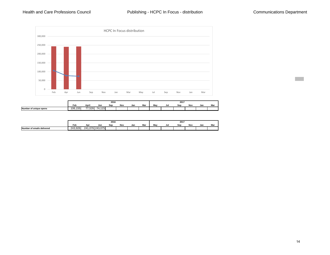

|                        |             |                                    |                                          | 2016 |     |     |     |     |     | 2017 |     |     |     |
|------------------------|-------------|------------------------------------|------------------------------------------|------|-----|-----|-----|-----|-----|------|-----|-----|-----|
|                        | Feb         | April                              | Jun                                      | Sep  | Nov | Jan | Mar | May | Jul | Sep  | Nov | Jan | Mar |
| Number of unique opens | 155<br>106, | $\overline{\phantom{a}}$<br>. .526 | 115 <sub>1</sub><br>$\rightarrow$<br>'4. |      |     |     |     |     |     |      |     |     |     |

|                            |                    |             |         | 2016 |    |     |    |     |     | 2017 |     |     |     |
|----------------------------|--------------------|-------------|---------|------|----|-----|----|-----|-----|------|-----|-----|-----|
|                            | Feb                | Ap          | Jun     | Sep  | No | Jan | Ma | May | Jul | Sep  | Nov | Jan | Mar |
| Number of emails delivered | 42ء<br>.3.926<br>∼ | 276z<br>241 | 243.075 |      |    |     |    |     |     |      |     |     |     |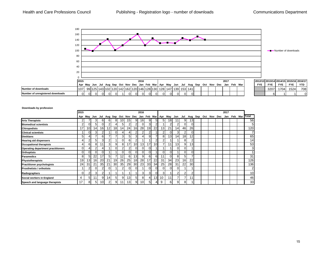

#### **Downloads by profession**

|                                           | 2015     |                 |                 |                 |                 |                 |                 |                 |                 | 2016            |                 |    |                 |                 |                 |                 |                 |  |  | 2017 |  |                                                                                                       |
|-------------------------------------------|----------|-----------------|-----------------|-----------------|-----------------|-----------------|-----------------|-----------------|-----------------|-----------------|-----------------|----|-----------------|-----------------|-----------------|-----------------|-----------------|--|--|------|--|-------------------------------------------------------------------------------------------------------|
|                                           |          |                 |                 |                 |                 |                 |                 |                 |                 |                 |                 |    |                 |                 |                 |                 |                 |  |  |      |  | Apr May Jun Jul Aug Sep Oct Nov Dec Jan Feb Mar Apr May Jun Jul Aug Sep Oct Nov Dec Jan Feb Mar Total |
| <b>Arts Therapists</b>                    |          |                 | 31              | 6               | 61              | 8               | 10 I            | 15 <sup>1</sup> | 9               | 16 <sup>1</sup> | 9               | 5  |                 | 18 <sup>l</sup> | 11              | 9               | 13 <sub>1</sub> |  |  |      |  | 56                                                                                                    |
| <b>Biomedical scientists</b>              | $\sim$   | 0               | 5               | $\overline{0}$  | $\overline{2}$  | 4               | 5               |                 | 2               | $\overline{0}$  | 3               | 2  |                 | $\overline{2}$  |                 | $\Omega$        | 0               |  |  |      |  | 5                                                                                                     |
| <b>Chiropodists</b>                       | 17       | 10 <sup>1</sup> | 14 <sup>1</sup> | 161             | 12              | 18              | 14              | 24              | 16              | 28              | 19              | 22 | 13 <sub>1</sub> | 21              | 14 <sub>1</sub> | 46              | 26              |  |  |      |  | 120                                                                                                   |
| <b>Clinical scientists</b>                |          | 0               | 3               | 2               |                 | 0               | 4               |                 | 2               | 2               |                 |    |                 | $\Omega$        | 3               | $\overline{2}$  | 0               |  |  |      |  |                                                                                                       |
| <b>Dietitians</b>                         | 51       | 4               | 7               | 6               |                 | 7               | 3 <sub>l</sub>  | 51              | 3               | 4               | 9               |    | 8               | 13              | 14 <sup>1</sup> | 18 <sub>1</sub> | 12              |  |  |      |  | 65                                                                                                    |
| <b>Hearing aid dispensers</b>             | 4        | 2               | 5               | 3               | $\overline{2}$  |                 | $\Omega$        | 6               | 2               |                 |                 | 2  |                 |                 |                 | 8               | 2               |  |  |      |  | 14                                                                                                    |
| <b>Occupational therapists</b>            | 4        | 6               | 8               | 11              | 3 <sup>1</sup>  | 9               | 8               | 17              | 10 <sub>1</sub> | 13 <sup>1</sup> | 17              | 10 |                 | 11 <sub>1</sub> | 13              | 9               | 13 <sub>1</sub> |  |  |      |  | 53                                                                                                    |
| <b>Operating department practitioners</b> | 0        |                 | 2               | 4               |                 | $\Omega$        | $\sim$          |                 | 0               | 0               | $\Omega$        |    |                 |                 | 01              | $\Omega$        |                 |  |  |      |  | 3                                                                                                     |
| <b>Orthoptists</b>                        | $\Omega$ | 01              | $\Omega$        | $\Omega$        |                 |                 | $\Omega$        |                 | 0               | $\overline{0}$  | $\Omega$        |    |                 | $\Omega$        |                 | $\Omega$        | 0               |  |  |      |  |                                                                                                       |
| Paramedics                                | 8        | 5               | 22              | 17 <sup>1</sup> | 5 <sub>l</sub>  | 7               | 12 <sub>1</sub> | 6               | 13              | 9               | 6               | 6  | 11              | $\overline{0}$  | 8               | 5               | 7               |  |  |      |  | 31                                                                                                    |
| Physiotherapists                          | 19       | 13 <sub>l</sub> | 16 <sup>1</sup> | 20              | 21              | 19 <sub>1</sub> | 26              | 25              | 18              | 28              | 17              | 22 | 31              | 34              | 23              | 16              | 22              |  |  |      |  | 126                                                                                                   |
| <b>Practitioner psychologists</b>         | 24       | 31              | 21              | 35 <sub>1</sub> | 21              | 30              | 35              | 29              | 30              | 23 <sub>l</sub> | 33 <sub>1</sub> | 34 | 25              | 28              | 31              | 22              | 30              |  |  |      |  | 136                                                                                                   |
| <b>Prosthetists / orthotists</b>          |          | 2               | $\Omega$        |                 |                 |                 |                 |                 | 0               |                 |                 |    |                 | $\Omega$        |                 |                 |                 |  |  |      |  | $\overline{2}$                                                                                        |
| Radiographers                             |          | 2               | 3               | 2               |                 | 4               |                 |                 |                 | 3 <sup>1</sup>  | 3               | n  | ς               |                 |                 | $\Omega$        | 2               |  |  |      |  | 10                                                                                                    |
| Social workers in England                 | 4        | 5               | 11              | 9               | 14 <sup>1</sup> | 5               | 9               | 13              | 5               | 8               | 4               | 13 | 10              | 11              |                 |                 | 11.             |  |  |      |  | 46                                                                                                    |
| Speech and language therapists            | 17       | 81              | 51              | 10 <sup>1</sup> | 2               | 9               | 11              | 13              | 9               | 10 <sup>1</sup> | 5               | 4  | 9               | 6               | 9               | 8               |                 |  |  |      |  | 33                                                                                                    |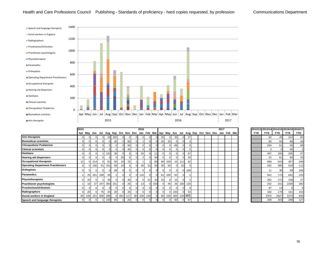

|                                           | 2015     |                 |     |     |     |     |     |     |    | 2016 |          |                 |                 |     |     |        |                                                                                                 |  |  | 2017 |  |     | 2012/13 2013/14 2014/15 2015/16 2016/17 |            |            |     |
|-------------------------------------------|----------|-----------------|-----|-----|-----|-----|-----|-----|----|------|----------|-----------------|-----------------|-----|-----|--------|-------------------------------------------------------------------------------------------------|--|--|------|--|-----|-----------------------------------------|------------|------------|-----|
|                                           |          |                 |     |     |     |     |     |     |    |      |          |                 |                 |     |     |        | Apr May Jun Jul Aug Sep Oct Nov Dec Jan Feb Mar Apr May Jun Jul Aug Sep Oct Nov Dec Jan Feb Mar |  |  |      |  | FYE | <b>FYE</b>                              | <b>FYE</b> | <b>FYE</b> | YTD |
| <b>Arts therapists</b>                    | O        |                 | 6   |     | 16  | 202 |     |     |    |      | $\Omega$ |                 | 20              |     | 35  |        | 27                                                                                              |  |  |      |  |     | 82                                      | 28         | 224        | 82  |
| <b>Biomedical scientists</b>              | $\Omega$ |                 | 6   |     |     | 30  |     | 60  |    |      | $\Omega$ |                 | 20              | 25  |     |        |                                                                                                 |  |  |      |  |     | 83                                      | 55         | 99         | 49  |
| <b>Chiropodists/ Podiatrists</b>          | O        |                 | 6   |     |     |     |     | 50  |    |      | $\Omega$ |                 | $\Omega$        |     | 68  |        |                                                                                                 |  |  |      |  |     | 254                                     | 61         | 56         | 68  |
| <b>Clinical scientists</b>                | O        |                 | ค   |     |     |     |     | 40  |    |      | ΩL       |                 | ΩI              |     |     |        |                                                                                                 |  |  |      |  |     | 3                                       |            | 46         |     |
| <b>Dietitians</b>                         | O        |                 | ี   |     | 132 | 30  |     |     |    | 25   | ΩL       |                 | ΩI              |     |     |        | 67                                                                                              |  |  |      |  |     | 407                                     | 160        | 205        | 67  |
| <b>Hearing aid dispensers</b>             | O        |                 |     |     |     |     | 20  |     |    |      | $\Omega$ | 40              | ΩI              |     |     |        | 20                                                                                              |  |  |      |  |     | 22                                      | 61         | 68         | 20  |
| <b>Occupational therapists</b>            | 12       |                 | 214 |     | 81  | 50  | 10  | 22  |    |      |          | 60              | 66              | 100 |     | 10 111 | 62                                                                                              |  |  |      |  |     | 669                                     | 543        | 457        | 349 |
| <b>Operating Department Practitioners</b> | $\Omega$ |                 | 156 | 41  | 151 | 60  | 10  |     |    | 30   | 31       | 35 <sub>l</sub> | 30              | 50  |     | 32     |                                                                                                 |  |  |      |  |     | 262                                     | 395        | 519        | 112 |
| <b>Orthoptists</b>                        |          |                 |     |     |     | 48  |     |     |    |      |          |                 | 01              |     |     |        | 166                                                                                             |  |  |      |  |     | 11                                      | 35         | 59         | 166 |
| <b>Paramedics</b>                         |          | 25              | 201 | 258 | 45  |     |     |     |    | 110  | $\Omega$ | $\Omega$        | 61              | 100 | 62  |        |                                                                                                 |  |  |      |  |     | 842                                     | 775        | 642        | 225 |
| <b>Physiotherapists</b>                   |          | 20              | 6   |     | 30  |     |     | 40. |    |      | 51       | 10              | 10 <sup>1</sup> |     | 15  |        |                                                                                                 |  |  |      |  |     | 262                                     | 172        | 158        | 27  |
| <b>Practitioner psychologists</b>         |          | 10 <sup>1</sup> | 37  | 247 | 393 | 151 |     | 26  |    | 13   |          | 150             |                 | 46  | 26  | 100    | 120                                                                                             |  |  |      |  |     | 252                                     | 231        | 1028       | 292 |
| <b>Prosthotists/Orthotists</b>            | $\Omega$ |                 |     |     |     |     |     |     |    |      |          |                 | ΩI              |     |     |        |                                                                                                 |  |  |      |  |     | 87                                      | 13         |            |     |
| Radiographers                             |          | 20              |     | 75  | 20  | 20  |     | 20  |    |      |          |                 | ΩI              |     | 100 |        | 53                                                                                              |  |  |      |  |     | 182                                     | 170        | 161        | 153 |
| Social workers in England                 | 65       | 100             | 151 | 500 | 286 |     | 601 | 117 | 80 | 230  | 140      |                 | 60              | 100 | 200 |        | 120 465                                                                                         |  |  |      |  |     | 3370                                    | 2627       | 2270       | 945 |
| Speech and language therapists            | O        |                 |     |     | 100 | 80  |     | 20  |    |      |          |                 | $\Omega$        |     | 60  |        | 67                                                                                              |  |  |      |  |     | 208                                     | 343        | 208        | 127 |

|     | 2012/13 2013/14 2014/15 2015/16 2016/17 |      |            |                |
|-----|-----------------------------------------|------|------------|----------------|
| FYE | <b>FYE</b>                              | FYE  | <b>FYE</b> | YTD            |
|     | 82                                      | 28   | 224        | 82             |
|     | 83                                      | 55   | 99         | 49             |
|     | 254                                     | 61   | 56         | 68             |
|     | 3                                       | 0    | 46         | $\overline{2}$ |
|     | 407                                     | 160  | 205        | 67             |
|     | 22                                      | 61   | 68         | 20             |
|     | 669                                     | 543  | 457        | 349            |
|     | 262                                     | 395  | 519        | 112            |
|     | 11                                      | 35   | 59         | 166            |
|     | 842                                     | 775  | 642        | 225            |
|     | 262                                     | 172  | 158        | 27             |
|     | 252                                     | 231  | 1028       | 292            |
|     | 87                                      | 13   | 6          | 0              |
|     | 182                                     | 170  | 161        | 153            |
|     | 3370                                    | 2627 | 2270       | 945            |
|     | 208                                     | 343  | 208        | 127            |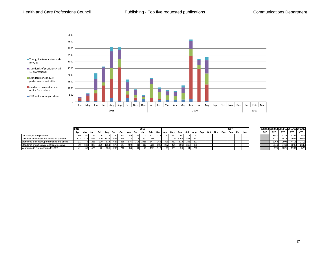

|                                               | 2015 |      |     |          |      |           |     |     |      | 2016 |      |     |         |     |     |     |                  |     |     |     |     | 2017 |     |     | 2012/13 2013/14 2014/15 2015/16 2016/17 |      |            |       |       |
|-----------------------------------------------|------|------|-----|----------|------|-----------|-----|-----|------|------|------|-----|---------|-----|-----|-----|------------------|-----|-----|-----|-----|------|-----|-----|-----------------------------------------|------|------------|-------|-------|
|                                               | Apr  | Mav  |     |          | Aua  | Sep       | Oct | Nov | Dec  | Jan  | Feb  |     | Mar Apr | Mav | Jun | Jul | Aua              | Sep | Oct | Nov | Dec | Jan  | Feb | Mar | <b>FYE</b>                              | FYE  | <b>FYE</b> | FYE 1 | I YTD |
| CPD and your registration                     |      | 50 I |     |          | 278  | 501       | 293 | 89  | 225  |      | 121  | 113 | 152     | 167 | 201 |     | 521              |     |     |     |     |      |     |     |                                         | 3587 | 2724       | 1365  | 575   |
| Guidance on conduct and ethics for students   | 172  | 377  |     | 546 1209 |      | 1433 2526 | 246 | 222 |      | 292  | -601 |     |         |     |     |     | 0 3263 2471 1242 |     |     |     |     |      |     |     |                                         | 7071 | 7874       | 7084  | 6976  |
| Standards of conduct, performance and ethics  |      |      | 255 | 230      | 814  | 627       | 268 | 176 |      | 1018 | 547  | 356 | 301     | 482 | 513 | 295 | 827              |     |     |     |     |      |     |     |                                         | 3368 | 2508       | 4416  | 2418  |
| Standards of proficiency (all 16 professions) |      | 180  |     | 825 1129 | 1254 | 673       | 644 | 400 | 81 I | 412  | 223  | 306 | 267     | 421 | 606 | 363 | 990              |     |     |     |     |      |     |     |                                         | 6946 | 5769       | 6206  | 2647  |
| Your guide to our standards for CPD           |      | 50   | 426 | 72       | 356  | 209       |     |     |      |      | 112  | 118 | 601     | 151 |     | 511 | 220              |     |     |     |     |      |     |     |                                         | 875  | 2321       | 1789  | 578   |

|            |            | 2012/13 2013/14 2014/15 2015/16 2016/17 |            |            |
|------------|------------|-----------------------------------------|------------|------------|
| <b>FYE</b> | <b>FYE</b> | <b>FYE</b>                              | <b>FYE</b> | <b>YTD</b> |
|            | 3587       | 2724                                    | 1365       | 575        |
|            | 7071       | 7874                                    | 7084       | 6976       |
|            | 3368       | 2508                                    | 4416       | 2418       |
|            | 6946       | 5769                                    | 6206       | 2647       |
|            | 875        | 2321                                    | 1789       | 578        |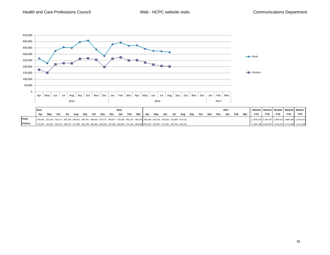Health and Care Professions Council



2016/17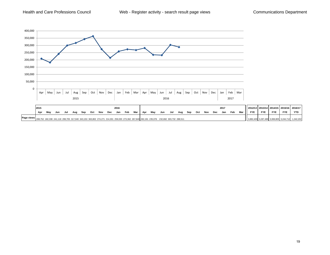Health and Care Professions Council

Web - Register activity - search result page views Communications Department



2016/17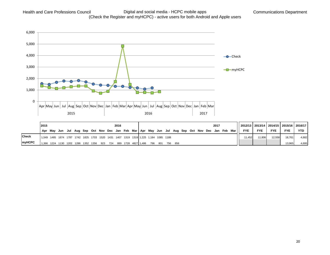Digital and social media - HCPC mobile apps (Check the Register and myHCPC) - active users for both Android and Apple users



|               | 2015 |  |  |  |  | 2016 |  |                                                                                    |  |         |  |  | 2017 |                                                                                                 | 2012/13 2013/14 2014/15 2015/16 2016/17 |            |            |            |            |
|---------------|------|--|--|--|--|------|--|------------------------------------------------------------------------------------|--|---------|--|--|------|-------------------------------------------------------------------------------------------------|-----------------------------------------|------------|------------|------------|------------|
|               |      |  |  |  |  |      |  |                                                                                    |  |         |  |  |      | Apr May Jun Jul Aug Sep Oct Nov Dec Jan Feb Mar Apr May Jun Jul Aug Sep Oct Nov Dec Jan Feb Mar | <b>FYE</b>                              | <b>FYE</b> | <b>FYE</b> | <b>FYE</b> | <b>YTD</b> |
| <b>Check</b>  |      |  |  |  |  |      |  | 1,549 1485 1674 1787 1742 1825 1703 1520 1431 1407 1319 1319 1,225 1,184 1085 1188 |  |         |  |  |      |                                                                                                 | 11.452                                  | 11.806     | 12.558     | 18.761     | 4.682      |
| <b>myHCPC</b> |      |  |  |  |  |      |  | 1,366 1224 1130 1202 1286 1352 1356 923 724 889 1728 4827 1,486 796 801            |  | 756 856 |  |  |      |                                                                                                 |                                         |            |            | 13.965     | 4.695      |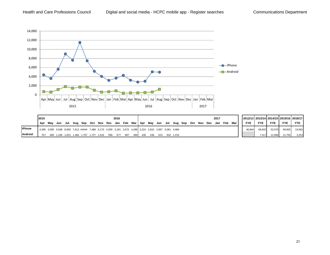

|                | 2015 |     |                                         |     |     |  |     | 2016 |                                     |     |     |     |     |                                                                                                       |  |         |         | 2017 |     |     |            |        | 2012/13 2013/14 2014/15 2015/16 2016/17 |            |            |            |
|----------------|------|-----|-----------------------------------------|-----|-----|--|-----|------|-------------------------------------|-----|-----|-----|-----|-------------------------------------------------------------------------------------------------------|--|---------|---------|------|-----|-----|------------|--------|-----------------------------------------|------------|------------|------------|
|                | Apr  | Mav | Jun                                     | Jul | Aug |  |     |      | Sep Oct Nov Dec Jan Feb Mar Apr May |     |     |     |     | Jun Jul Aug Sep                                                                                       |  | Oct Nov | Dec Jan |      | Feb | Mar | <b>FYE</b> |        | <b>FYE</b>                              | <b>FYE</b> | <b>FYE</b> | <b>YTD</b> |
| <b>liPhone</b> |      |     |                                         |     |     |  |     |      |                                     |     |     |     |     | 4,396 3,595 5,638 8,993 7,613 ##### 7,488 5,170 4,059 3,181 3,672 4,289 3,224 2,815 2,997 5,061 4,984 |  |         |         |      |     |     |            | 46.844 | 69,602                                  | 52,079     | 69,602     | 19,081     |
| <b>Android</b> | 707  |     | 606 1.169 1.815 1.466 1.707 1.727 1.016 |     |     |  | 599 | 677  | 897                                 | 369 | 430 | 436 | 523 | 632 1.232                                                                                             |  |         |         |      |     |     |            |        | 7.417                                   | 12,690     | 12,755     | 3,253      |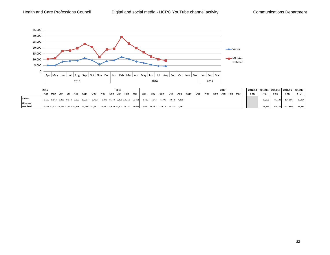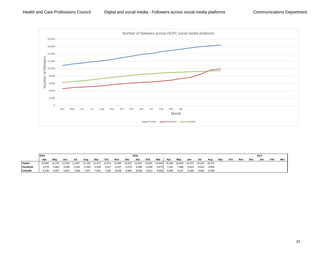

|                | 2015   |        |        |        |                        |       |       |       |                        | 2016  |        |        |        |        |                        |       |       |     |     |     |     | 2017 |     |     |
|----------------|--------|--------|--------|--------|------------------------|-------|-------|-------|------------------------|-------|--------|--------|--------|--------|------------------------|-------|-------|-----|-----|-----|-----|------|-----|-----|
|                | Apr    | Mav    | Jun    | Jul    | Aua                    | Sep   | Oct   | Nov   | Dec                    | Jan   | Feb    | Mar    | Apr    | May    | Jun                    | Jul   | Aug   | Sep | Oct | Nov | Dec | Jan  | Feb | Mar |
| <b>Twitter</b> | 10.860 | 11.270 | 11.532 | 11.867 | 12,126  12,472  12,974 |       |       |       | 13,385  13,870  14,091 |       | 14,625 | 14,940 | 15,280 | 15.654 | 15,972  16,184  16,372 |       |       |     |     |     |     |      |     |     |
| Facebook       | 4.579  | 4,863  | 5,006  | 5,182  | 5,339                  | 5,639 | 5,917 | 6,107 | 6,276                  | 6,398 | 6,628  | 6,873  | 7,331  | 7,666  | 8,523                  | 9.610 | 9,964 |     |     |     |     |      |     |     |
| LinkedIn       | 6,230  | 6,507  | 6,697  | 7,009  | 7,337                  | 7,604 | 7,925 | 8,206 | 8,465                  | 8,609 | 8,811  | 8,953  | 9,048  | 9,157  | 9,266                  | 9,363 | 9.468 |     |     |     |     |      |     |     |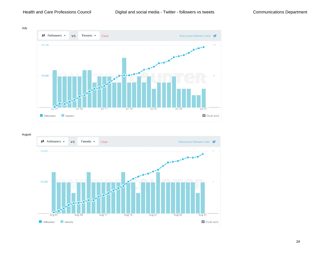

August



24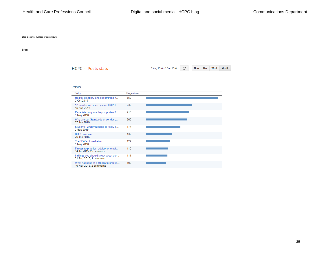**Blog piece vs. number of page views** 

#### **Blog**

HCPC · Posts stats Now Day Week Month 7 Aug 2016 - 5 Sep 2016 C

#### Posts

| Entry                                                           | Pageviews |  |
|-----------------------------------------------------------------|-----------|--|
| Health, disability and becoming a h<br>2 Oct 2015               | 359       |  |
| 12 months on since I joined HCPC<br>15 Aug 2016                 | 232       |  |
| Pass lists: why are they important?<br>9 May 2016               | 218       |  |
| Why are our Standards of conduct<br>27 Jan 2016                 | 205       |  |
| Students: what you need to know a<br>2 Sep 2015                 | 174       |  |
| SCPE and me<br>26 Jan 2016                                      | 132       |  |
| The 5 W's of mediation<br>5 May 2016                            | 122       |  |
| Fitness to practise: advice for empl<br>14 Jul 2015, 2 comments | 113       |  |
| 6 things you should know about the<br>21 Aug 2015, 1 comment    | 111       |  |
| What happens at a fitness to practis<br>16 Nov 2015, 2 comments | 102       |  |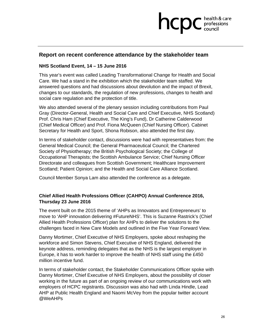#### **Report on recent conference attendance by the stakeholder team**

#### **NHS Scotland Event, 14 – 15 June 2016**

This year's event was called Leading Transformational Change for Health and Social Care. We had a stand in the exhibition which the stakeholder team staffed. We answered questions and had discussions about devolution and the impact of Brexit, changes to our standards, the regulation of new professions, changes to health and social care regulation and the protection of title.

We also attended several of the plenary session including contributions from Paul Gray (Director-General, Health and Social Care and Chief Executive, NHS Scotland) Prof. Chris Ham (Chief Executive, The King's Fund), Dr Catherine Calderwood (Chief Medical Officer) and Prof. Fiona McQueen (Chief Nursing Officer). Cabinet Secretary for Health and Sport, Shona Robison, also attended the first day.

In terms of stakeholder contact, discussions were had with representatives from: the General Medical Council; the General Pharmaceutical Council; the Chartered Society of Physiotherapy; the British Psychological Society; the College of Occupational Therapists; the Scottish Ambulance Service; Chief Nursing Officer Directorate and colleagues from Scottish Government; Healthcare Improvement Scotland; Patient Opinion; and the Health and Social Care Alliance Scotland.

Council Member Sonya Lam also attended the conference as a delegate.

#### **Chief Allied Health Professions Officer (CAHPO) Annual Conference 2016, Thursday 23 June 2016**

The event built on the 2015 theme of 'AHPs as Innovators and Entrepreneurs' to move to 'AHP innovation delivering #FutureNHS'. This is Suzanne Rastrick's (Chief Allied Health Professions Officer) plan for AHPs to deliver the solutions to the challenges faced in New Care Models and outlined in the Five Year Forward View.

Danny Mortimer, Chief Executive of NHS Employers, spoke about reshaping the workforce and Simon Stevens, Chief Executive of NHS England, delivered the keynote address, reminding delegates that as the NHS is the largest employer in Europe, it has to work harder to improve the health of NHS staff using the £450 million incentive fund.

In terms of stakeholder contact, the Stakeholder Communications Officer spoke with Danny Mortimer, Chief Executive of NHS Employers, about the possibility of closer working in the future as part of an ongoing review of our communications work with employers of HCPC registrants. Discussion was also had with Linda Hindle, Lead AHP at Public Health England and Naomi McVey from the popular twitter account @WeAHPs

health & care<br>professions<br>council

hcpc